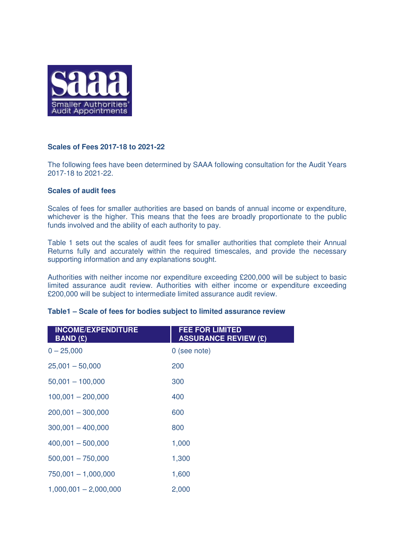

# **Scales of Fees 2017-18 to 2021-22**

The following fees have been determined by SAAA following consultation for the Audit Years 2017-18 to 2021-22.

# **Scales of audit fees**

Scales of fees for smaller authorities are based on bands of annual income or expenditure, whichever is the higher. This means that the fees are broadly proportionate to the public funds involved and the ability of each authority to pay.

Table 1 sets out the scales of audit fees for smaller authorities that complete their Annual Returns fully and accurately within the required timescales, and provide the necessary supporting information and any explanations sought.

Authorities with neither income nor expenditure exceeding £200,000 will be subject to basic limited assurance audit review. Authorities with either income or expenditure exceeding £200,000 will be subject to intermediate limited assurance audit review.

#### **Table1 – Scale of fees for bodies subject to limited assurance review**

| <b>INCOME/EXPENDITURE</b><br><b>BAND (£)</b> | <b>FEE FOR LIMITED</b><br><b>ASSURANCE REVIEW (£)</b> |
|----------------------------------------------|-------------------------------------------------------|
| $0 - 25,000$                                 | 0 (see note)                                          |
| $25,001 - 50,000$                            | 200                                                   |
| $50,001 - 100,000$                           | 300                                                   |
| $100,001 - 200,000$                          | 400                                                   |
| $200,001 - 300,000$                          | 600                                                   |
| $300,001 - 400,000$                          | 800                                                   |
| $400,001 - 500,000$                          | 1,000                                                 |
| $500,001 - 750,000$                          | 1,300                                                 |
| $750,001 - 1,000,000$                        | 1,600                                                 |
| $1,000,001 - 2,000,000$                      | 2,000                                                 |